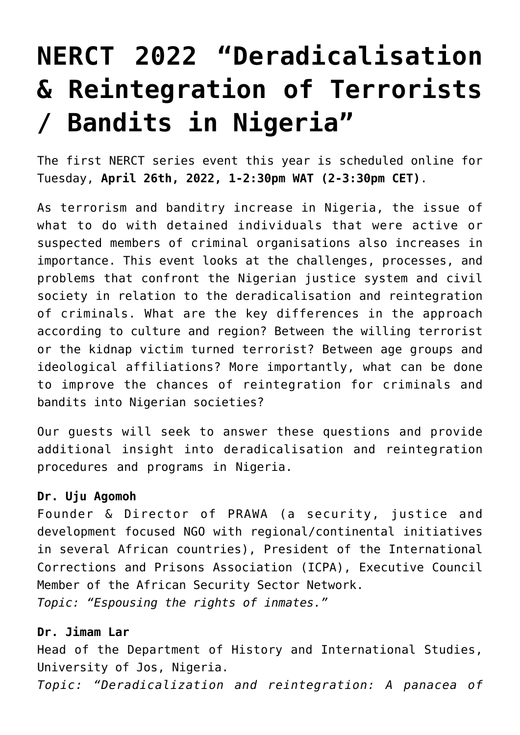## **[NERCT 2022 "Deradicalisation](https://nerct.com/nerct-2022-deradicalisation-reintegration-of-terrorists-bandits-in-nigeria/) [& Reintegration of Terrorists](https://nerct.com/nerct-2022-deradicalisation-reintegration-of-terrorists-bandits-in-nigeria/) [/ Bandits in Nigeria"](https://nerct.com/nerct-2022-deradicalisation-reintegration-of-terrorists-bandits-in-nigeria/)**

The first NERCT series event this year is scheduled online for Tuesday, **April 26th, 2022, 1-2:30pm WAT (2-3:30pm CET)**.

As terrorism and banditry increase in Nigeria, the issue of what to do with detained individuals that were active or suspected members of criminal organisations also increases in importance. This event looks at the challenges, processes, and problems that confront the Nigerian justice system and civil society in relation to the deradicalisation and reintegration of criminals. What are the key differences in the approach according to culture and region? Between the willing terrorist or the kidnap victim turned terrorist? Between age groups and ideological affiliations? More importantly, what can be done to improve the chances of reintegration for criminals and bandits into Nigerian societies?

Our guests will seek to answer these questions and provide additional insight into deradicalisation and reintegration procedures and programs in Nigeria.

## **[Dr. Uju Agomoh](https://twitter.com/DrUjuAgomoh)**

Founder & Director of PRAWA (a security, justice and development focused NGO with regional/continental initiatives in several African countries), President of the International Corrections and Prisons Association (ICPA), Executive Council Member of the African Security Sector Network. *Topic: "Espousing the rights of inmates."*

## **[Dr. Jimam Lar](https://twitter.com/JimamJimamlar77)**

Head of the Department of History and International Studies, University of Jos, Nigeria. *Topic: "Deradicalization and reintegration: A panacea of*